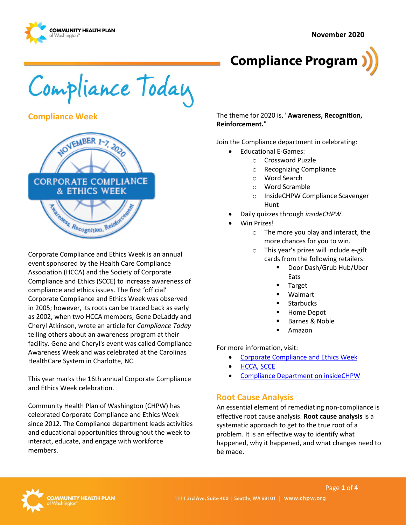**November 2020**





Compliance Today

**Compliance Week** 



Corporate Compliance and Ethics Week is an annual event sponsored by the Health Care Compliance Association (HCCA) and the Society of Corporate Compliance and Ethics (SCCE) to increase awareness of compliance and ethics issues. The first 'official' Corporate Compliance and Ethics Week was observed in 2005; however, its roots can be traced back as early as 2002, when two HCCA members, Gene DeLaddy and Cheryl Atkinson, wrote an article for *Compliance Today* telling others about an awareness program at their facility. Gene and Cheryl's event was called Compliance Awareness Week and was celebrated at the Carolinas HealthCare System in Charlotte, NC.

This year marks the 16th annual Corporate Compliance and Ethics Week celebration.

Community Health Plan of Washington (CHPW) has celebrated Corporate Compliance and Ethics Week since 2012. The Compliance department leads activities and educational opportunities throughout the week to interact, educate, and engage with workforce members.

The theme for 2020 is, "**Awareness, Recognition, Reinforcement.**"

Join the Compliance department in celebrating:

- Educational E-Games:
	- o Crossword Puzzle
	- o Recognizing Compliance
	- o Word Search
	- o Word Scramble
	- o InsideCHPW Compliance Scavenger Hunt
- Daily quizzes through *insideCHPW*.
- Win Prizes!
	- o The more you play and interact, the more chances for you to win.
	- o This year's prizes will include e-gift cards from the following retailers:
		- Door Dash/Grub Hub/Uber Eats
			- **Target**
			- **Walmart**
			- **Starbucks**
			- Home Depot
			- Barnes & Noble
		- **Amazon**

For more information, visit:

- [Corporate Compliance and Ethics Week](https://www.hcca-info.org/about-hcca/corporate-compliance-ethics-week)
- [HCCA,](http://www.hcca-info.org/) [SCCE](http://www.corporatecompliance.org/)
- [Compliance Department on insideCHPW](https://inside.chpw.org/departments/compliance)

## **Root Cause Analysis**

An essential element of remediating non-compliance is effective root cause analysis. **Root cause analysis** is a systematic approach to get to the true root of a problem. It is an effective way to identify what happened, why it happened, and what changes need to be made.

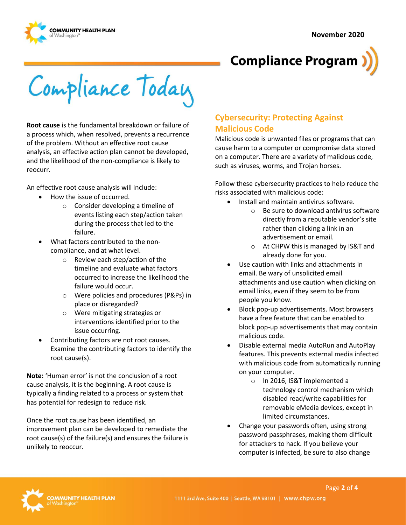



Compliance Today

**Root cause** is the fundamental breakdown or failure of a process which, when resolved, prevents a recurrence of the problem. Without an effective root cause analysis, an effective action plan cannot be developed, and the likelihood of the non-compliance is likely to reocurr.

An effective root cause analysis will include:

- How the issue of occurred.
	- o Consider developing a timeline of events listing each step/action taken during the process that led to the failure.
- What factors contributed to the noncompliance, and at what level.
	- o Review each step/action of the timeline and evaluate what factors occurred to increase the likelihood the failure would occur.
	- o Were policies and procedures (P&Ps) in place or disregarded?
	- o Were mitigating strategies or interventions identified prior to the issue occurring.
- Contributing factors are not root causes. Examine the contributing factors to identify the root cause(s).

**Note:** 'Human error' is not the conclusion of a root cause analysis, it is the beginning. A root cause is typically a finding related to a process or system that has potential for redesign to reduce risk.

Once the root cause has been identified, an improvement plan can be developed to remediate the root cause(s) of the failure(s) and ensures the failure is unlikely to reoccur.

# **Cybersecurity: Protecting Against Malicious Code**

Malicious code is unwanted files or programs that can cause harm to a computer or compromise data stored on a computer. There are a variety of malicious code, such as viruses, worms, and Trojan horses.

Follow these cybersecurity practices to help reduce the risks associated with malicious code:

- Install and maintain antivirus software.
	- o Be sure to download antivirus software directly from a reputable vendor's site rather than clicking a link in an advertisement or email.
	- o At CHPW this is managed by IS&T and already done for you.
- Use caution with links and attachments in email. Be wary of unsolicited email attachments and use caution when clicking on email links, even if they seem to be from people you know.
- Block pop-up advertisements. Most browsers have a free feature that can be enabled to block pop-up advertisements that may contain malicious code.
- Disable external media AutoRun and AutoPlay features. This prevents external media infected with malicious code from automatically running on your computer.
	- o In 2016, IS&T implemented a technology control mechanism which disabled read/write capabilities for removable eMedia devices, except in limited circumstances.
- Change your passwords often, using strong password passphrases, making them difficult for attackers to hack. If you believe your computer is infected, be sure to also change

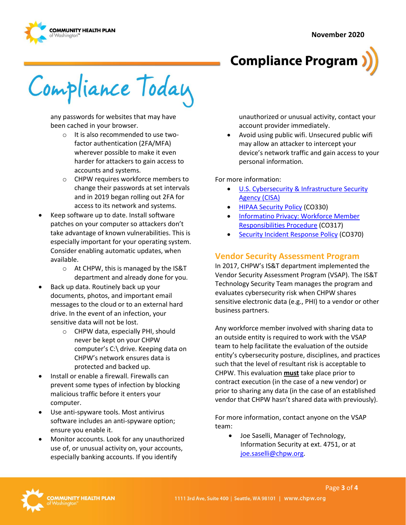



Compliance Today

any passwords for websites that may have been cached in your browser.

- o It is also recommended to use twofactor authentication (2FA/MFA) wherever possible to make it even harder for attackers to gain access to accounts and systems.
- o CHPW requires workforce members to change their passwords at set intervals and in 2019 began rolling out 2FA for access to its network and systems.
- Keep software up to date. Install software patches on your computer so attackers don't take advantage of known vulnerabilities. This is especially important for your operating system. Consider enabling automatic updates, when available.
	- o At CHPW, this is managed by the IS&T department and already done for you.
- Back up data. Routinely back up your documents, photos, and important email messages to the cloud or to an external hard drive. In the event of an infection, your sensitive data will not be lost.
	- o CHPW data, especially PHI, should never be kept on your CHPW computer's C:\ drive. Keeping data on CHPW's network ensures data is protected and backed up.
- Install or enable a firewall. Firewalls can prevent some types of infection by blocking malicious traffic before it enters your computer.
- Use anti-spyware tools. Most antivirus software includes an anti-spyware option; ensure you enable it.
- Monitor accounts. Look for any unauthorized use of, or unusual activity on, your accounts, especially banking accounts. If you identify

unauthorized or unusual activity, contact your account provider immediately.

• Avoid using public wifi. Unsecured public wifi may allow an attacker to intercept your device's network traffic and gain access to your personal information.

For more information:

- U.S. Cybersecurity & Infrastructure Security [Agency \(CISA\)](https://us-cert.cisa.gov/)
- [HIPAA Security Policy](http://chpsp/PP/Compliance/HIPAA%20Security%20Policy%20-%20CO330.pdf) (CO330)
- [Informatino Privacy: Workforce Member](http://chpsp/PP/Compliance/Information%20Privacy%20Workforce%20Member%20Responsibilities%20Procedure%20-%20CO317.pdf)  [Responsibilities Procedure](http://chpsp/PP/Compliance/Information%20Privacy%20Workforce%20Member%20Responsibilities%20Procedure%20-%20CO317.pdf) (CO317)
- [Security Incident Response Policy](http://chpsp/PP/Compliance/Security%20Incident%20Response%20Policy%20-%20CO370.pdf) (CO370)

## **Vendor Security Assessment Program**

In 2017, CHPW's IS&T department implemented the Vendor Security Assessment Program (VSAP). The IS&T Technology Security Team manages the program and evaluates cybersecurity risk when CHPW shares sensitive electronic data (e.g., PHI) to a vendor or other business partners.

Any workforce member involved with sharing data to an outside entity is required to work with the VSAP team to help facilitate the evaluation of the outside entity's cybersecurity posture, disciplines, and practices such that the level of resultant risk is acceptable to CHPW. This evaluation **must** take place prior to contract execution (in the case of a new vendor) or prior to sharing any data (in the case of an established vendor that CHPW hasn't shared data with previously).

For more information, contact anyone on the VSAP team:

• Joe Saselli, Manager of Technology, Information Security at ext. 4751, or at [joe.saselli@chpw.org.](mailto:joe.saselli@chpw.org)